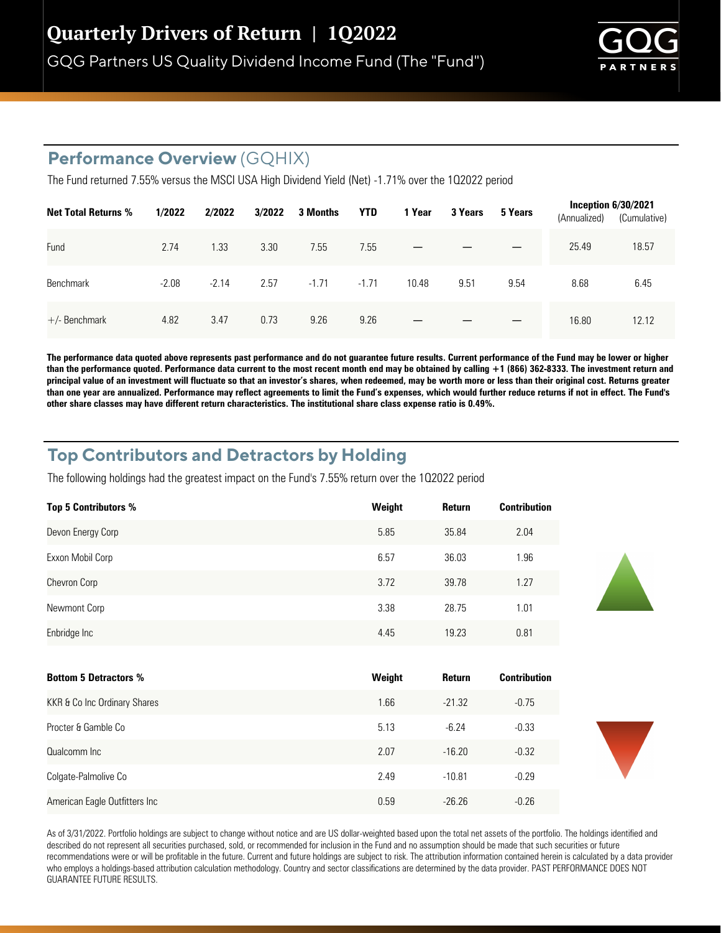GQG Partners US Quality Dividend Income Fund (The "Fund")



## **Performance Overview** (GQHIX)

The Fund returned 7.55% versus the MSCI USA High Dividend Yield (Net) -1.71% over the 102022 period

| <b>Net Total Returns %</b> | 1/2022  | 2/2022  | 3/2022 | 3 Months | <b>YTD</b> | 1 Year | 3 Years | 5 Years | Inception $6/30/2021$<br>(Annualized) | (Cumulative) |
|----------------------------|---------|---------|--------|----------|------------|--------|---------|---------|---------------------------------------|--------------|
| Fund                       | 2.74    | 1.33    | 3.30   | 7.55     | 7.55       |        |         |         | 25.49                                 | 18.57        |
| <b>Benchmark</b>           | $-2.08$ | $-2.14$ | 2.57   | $-1.71$  | $-1.71$    | 10.48  | 9.51    | 9.54    | 8.68                                  | 6.45         |
| $+/-$ Benchmark            | 4.82    | 3.47    | 0.73   | 9.26     | 9.26       | –      |         |         | 16.80                                 | 12.12        |

**The performance data quoted above represents past performance and do not guarantee future results. Current performance of the Fund may be lower or higher than the performance quoted. Performance data current to the most recent month end may be obtained by calling +1 (866) 362-8333. The investment return and principal value of an investment will fluctuate so that an investor's shares, when redeemed, may be worth more or less than their original cost. Returns greater than one year are annualized. Performance may reflect agreements to limit the Fund's expenses, which would further reduce returns if not in effect. The Fund's**  other share classes may have different return characteristics. The institutional share class expense ratio is 0.49%.

## **Top Contributors and Detractors by Holding**

The following holdings had the greatest impact on the Fund's 7.55% return over the 102022 period

| <b>Top 5 Contributors %</b> | Weight | Return | <b>Contribution</b> |
|-----------------------------|--------|--------|---------------------|
| Devon Energy Corp           | 5.85   | 35.84  | 2.04                |
| Exxon Mobil Corp            | 6.57   | 36.03  | 1.96                |
| Chevron Corp                | 3.72   | 39.78  | 1.27                |
| Newmont Corp                | 3.38   | 28.75  | 1.01                |
| Enbridge Inc                | 4.45   | 19.23  | 0.81                |

| <b>Bottom 5 Detractors %</b>  | Weight | Return   | <b>Contribution</b> |
|-------------------------------|--------|----------|---------------------|
| KKR & Co Inc Ordinary Shares  | 1.66   | $-21.32$ | $-0.75$             |
| Procter & Gamble Co           | 5.13   | $-6.24$  | $-0.33$             |
| Qualcomm Inc                  | 2.07   | $-16.20$ | $-0.32$             |
| Colgate-Palmolive Co          | 2.49   | $-10.81$ | $-0.29$             |
| American Eagle Outfitters Inc | 0.59   | $-26.26$ | $-0.26$             |

As of 3/31/2022. Portfolio holdings are subject to change without notice and are US dollar-weighted based upon the total net assets of the portfolio. The holdings identified and described do not represent all securities purchased, sold, or recommended for inclusion in the Fund and no assumption should be made that such securities or future recommendations were or will be profitable in the future. Current and future holdings are subject to risk. The attribution information contained herein is calculated by a data provider who employs a holdings-based attribution calculation methodology. Country and sector classifications are determined by the data provider. PAST PERFORMANCE DOES NOT GUARANTEE FUTURE RESULTS.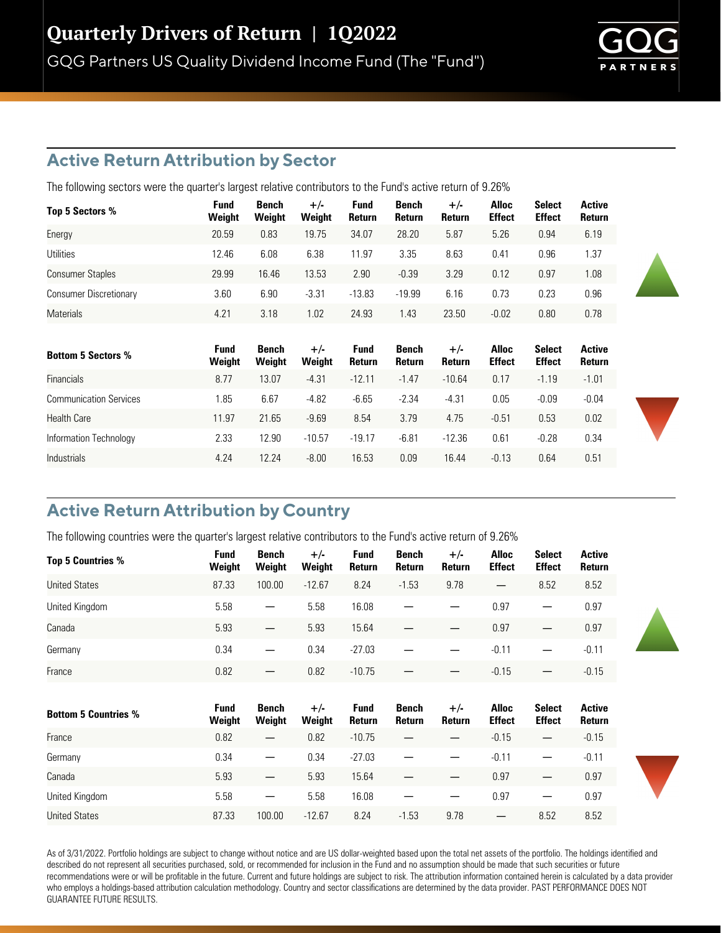## **Active Return Attribution by Sector**

The following sectors were the quarter's largest relative contributors to the Fund's active return of 9.26%

| Top 5 Sectors %               | <b>Fund</b><br>Weight | Bench<br>Weight | $+/-$<br>Weight | <b>Fund</b><br>Return | Bench<br>Return | $+/-$<br>Return | Alloc<br><b>Effect</b> | <b>Select</b><br><b>Effect</b> | <b>Active</b><br>Return |
|-------------------------------|-----------------------|-----------------|-----------------|-----------------------|-----------------|-----------------|------------------------|--------------------------------|-------------------------|
| Energy                        | 20.59                 | 0.83            | 19.75           | 34.07                 | 28.20           | 5.87            | 5.26                   | 0.94                           | 6.19                    |
| Utilities                     | 12.46                 | 6.08            | 6.38            | 11.97                 | 3.35            | 8.63            | 0.41                   | 0.96                           | 1.37                    |
| <b>Consumer Staples</b>       | 29.99                 | 16.46           | 13.53           | 2.90                  | $-0.39$         | 3.29            | 0.12                   | 0.97                           | 1.08                    |
| <b>Consumer Discretionary</b> | 3.60                  | 6.90            | $-3.31$         | $-13.83$              | $-19.99$        | 6.16            | 0.73                   | 0.23                           | 0.96                    |
| <b>Materials</b>              | 4.21                  | 3.18            | 1.02            | 24.93                 | 1.43            | 23.50           | $-0.02$                | 0.80                           | 0.78                    |

| <b>Bottom 5 Sectors %</b>     | <b>Fund</b><br>Weight | Bench<br>Weight | $+/-$<br>Weight | <b>Fund</b><br><b>Return</b> | Bench<br>Return | $+/-$<br>Return | Alloc<br><b>Effect</b> | <b>Select</b><br><b>Effect</b> | <b>Active</b><br>Return |
|-------------------------------|-----------------------|-----------------|-----------------|------------------------------|-----------------|-----------------|------------------------|--------------------------------|-------------------------|
| <b>Financials</b>             | 8.77                  | 13.07           | $-4.31$         | $-12.11$                     | $-1.47$         | $-10.64$        | 0.17                   | $-1.19$                        | $-1.01$                 |
| <b>Communication Services</b> | 1.85                  | 6.67            | $-4.82$         | $-6.65$                      | $-2.34$         | $-4.31$         | 0.05                   | $-0.09$                        | $-0.04$                 |
| <b>Health Care</b>            | 11.97                 | 21.65           | $-9.69$         | 8.54                         | 3.79            | 4.75            | $-0.51$                | 0.53                           | 0.02                    |
| Information Technology        | 2.33                  | 12.90           | $-10.57$        | $-19.17$                     | $-6.81$         | $-12.36$        | 0.61                   | $-0.28$                        | 0.34                    |
| Industrials                   | 4.24                  | 12.24           | $-8.00$         | 16.53                        | 0.09            | 16.44           | $-0.13$                | 0.64                           | 0.51                    |

# **Active Return Attribution by Country**

The following countries were the quarter's largest relative contributors to the Fund's active return of 9.26%

| Top 5 Countries %           | <b>Fund</b><br>Weight | <b>Bench</b><br>Weight | $+/-$<br>Weight | Fund<br>Return        | Bench<br>Return        | $+/-$<br>Return | <b>Alloc</b><br><b>Effect</b> | <b>Select</b><br><b>Effect</b> | <b>Active</b><br>Return |
|-----------------------------|-----------------------|------------------------|-----------------|-----------------------|------------------------|-----------------|-------------------------------|--------------------------------|-------------------------|
| <b>United States</b>        | 87.33                 | 100.00                 | $-12.67$        | 8.24                  | $-1.53$                | 9.78            | $\overline{\phantom{m}}$      | 8.52                           | 8.52                    |
| United Kingdom              | 5.58                  |                        | 5.58            | 16.08                 |                        |                 | 0.97                          |                                | 0.97                    |
| Canada                      | 5.93                  |                        | 5.93            | 15.64                 |                        |                 | 0.97                          |                                | 0.97                    |
| Germany                     | 0.34                  | —                      | 0.34            | $-27.03$              |                        |                 | $-0.11$                       |                                | $-0.11$                 |
| France                      | 0.82                  |                        | 0.82            | $-10.75$              |                        |                 | $-0.15$                       |                                | $-0.15$                 |
|                             |                       |                        |                 |                       |                        |                 |                               |                                |                         |
| <b>Bottom 5 Countries %</b> | <b>Fund</b><br>Weight | Bench<br>Weight        | $+/-$<br>Weight | <b>Fund</b><br>Return | <b>Bench</b><br>Return | $+/-$<br>Return | <b>Alloc</b><br><b>Effect</b> | <b>Select</b><br><b>Effect</b> | <b>Active</b><br>Return |
| France                      | 0.82                  |                        | 0.82            | $-10.75$              |                        |                 | $-0.15$                       | $\overline{\phantom{m}}$       | $-0.15$                 |
| Germany                     | 0.34                  | —                      | 0.34            | $-27.03$              |                        |                 | $-0.11$                       | —                              | $-0.11$                 |
| Canada                      | 5.93                  |                        | 5.93            | 15.64                 |                        |                 | 0.97                          |                                | 0.97                    |
| United Kingdom              | 5.58                  |                        | 5.58            | 16.08                 |                        |                 | 0.97                          |                                | 0.97                    |
| <b>United States</b>        | 87.33                 | 100.00                 | $-12.67$        | 8.24                  | $-1.53$                | 9.78            | $\qquad \qquad -$             | 8.52                           | 8.52                    |

As of 3/31/2022. Portfolio holdings are subject to change without notice and are US dollar-weighted based upon the total net assets of the portfolio. The holdings identified and described do not represent all securities purchased, sold, or recommended for inclusion in the Fund and no assumption should be made that such securities or future recommendations were or will be profitable in the future. Current and future holdings are subject to risk. The attribution information contained herein is calculated by a data provider who employs a holdings-based attribution calculation methodology. Country and sector classifications are determined by the data provider. PAST PERFORMANCE DOES NOT GUARANTEE FUTURE RESULTS.